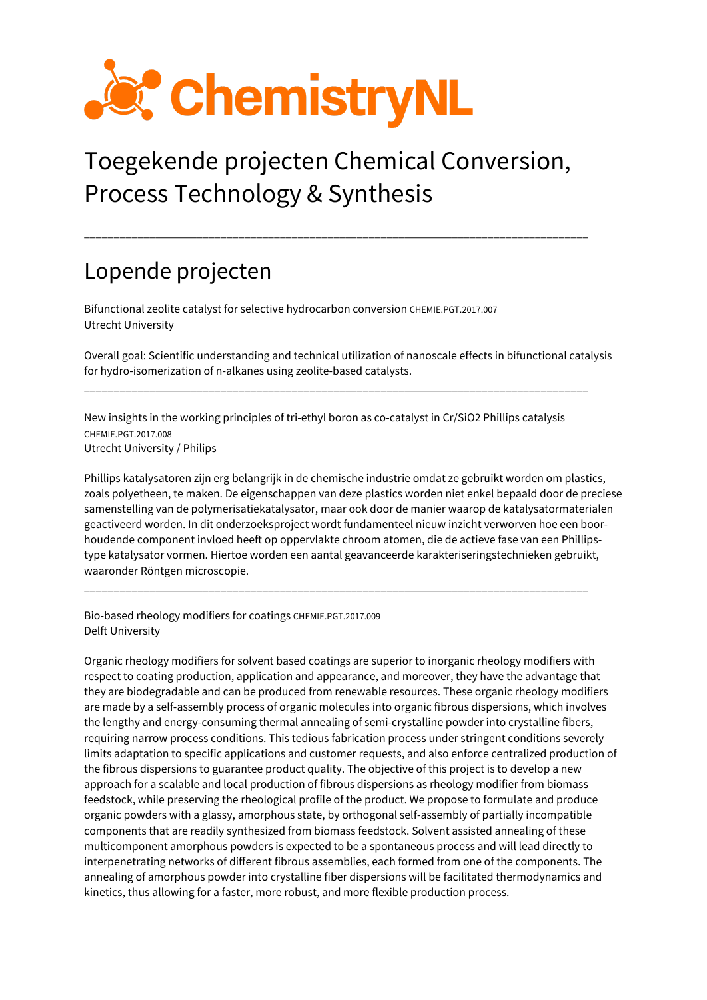

## Toegekende projecten Chemical Conversion, Process Technology & Synthesis

\_\_\_\_\_\_\_\_\_\_\_\_\_\_\_\_\_\_\_\_\_\_\_\_\_\_\_\_\_\_\_\_\_\_\_\_\_\_\_\_\_\_\_\_\_\_\_\_\_\_\_\_\_\_\_\_\_\_\_\_\_\_\_\_\_\_\_\_\_\_\_\_\_\_\_\_\_\_\_\_\_\_\_\_\_

## Lopende projecten

Bifunctional zeolite catalyst for selective hydrocarbon conversion CHEMIE.PGT.2017.007 Utrecht University

Overall goal: Scientific understanding and technical utilization of nanoscale effects in bifunctional catalysis for hydro-isomerization of n-alkanes using zeolite-based catalysts.

New insights in the working principles of tri-ethyl boron as co-catalyst in Cr/SiO2 Phillips catalysis CHEMIE.PGT.2017.008 Utrecht University / Philips

\_\_\_\_\_\_\_\_\_\_\_\_\_\_\_\_\_\_\_\_\_\_\_\_\_\_\_\_\_\_\_\_\_\_\_\_\_\_\_\_\_\_\_\_\_\_\_\_\_\_\_\_\_\_\_\_\_\_\_\_\_\_\_\_\_\_\_\_\_\_\_\_\_\_\_\_\_\_\_\_\_\_\_\_\_

Phillips katalysatoren zijn erg belangrijk in de chemische industrie omdat ze gebruikt worden om plastics, zoals polyetheen, te maken. De eigenschappen van deze plastics worden niet enkel bepaald door de preciese samenstelling van de polymerisatiekatalysator, maar ook door de manier waarop de katalysatormaterialen geactiveerd worden. In dit onderzoeksproject wordt fundamenteel nieuw inzicht verworven hoe een boorhoudende component invloed heeft op oppervlakte chroom atomen, die de actieve fase van een Phillipstype katalysator vormen. Hiertoe worden een aantal geavanceerde karakteriseringstechnieken gebruikt, waaronder Röntgen microscopie.

\_\_\_\_\_\_\_\_\_\_\_\_\_\_\_\_\_\_\_\_\_\_\_\_\_\_\_\_\_\_\_\_\_\_\_\_\_\_\_\_\_\_\_\_\_\_\_\_\_\_\_\_\_\_\_\_\_\_\_\_\_\_\_\_\_\_\_\_\_\_\_\_\_\_\_\_\_\_\_\_\_\_\_\_\_

Bio-based rheology modifiers for coatings CHEMIE.PGT.2017.009 Delft University

Organic rheology modifiers for solvent based coatings are superior to inorganic rheology modifiers with respect to coating production, application and appearance, and moreover, they have the advantage that they are biodegradable and can be produced from renewable resources. These organic rheology modifiers are made by a self-assembly process of organic molecules into organic fibrous dispersions, which involves the lengthy and energy-consuming thermal annealing of semi-crystalline powder into crystalline fibers, requiring narrow process conditions. This tedious fabrication process under stringent conditions severely limits adaptation to specific applications and customer requests, and also enforce centralized production of the fibrous dispersions to guarantee product quality. The objective of this project is to develop a new approach for a scalable and local production of fibrous dispersions as rheology modifier from biomass feedstock, while preserving the rheological profile of the product. We propose to formulate and produce organic powders with a glassy, amorphous state, by orthogonal self-assembly of partially incompatible components that are readily synthesized from biomass feedstock. Solvent assisted annealing of these multicomponent amorphous powders is expected to be a spontaneous process and will lead directly to interpenetrating networks of different fibrous assemblies, each formed from one of the components. The annealing of amorphous powder into crystalline fiber dispersions will be facilitated thermodynamics and kinetics, thus allowing for a faster, more robust, and more flexible production process.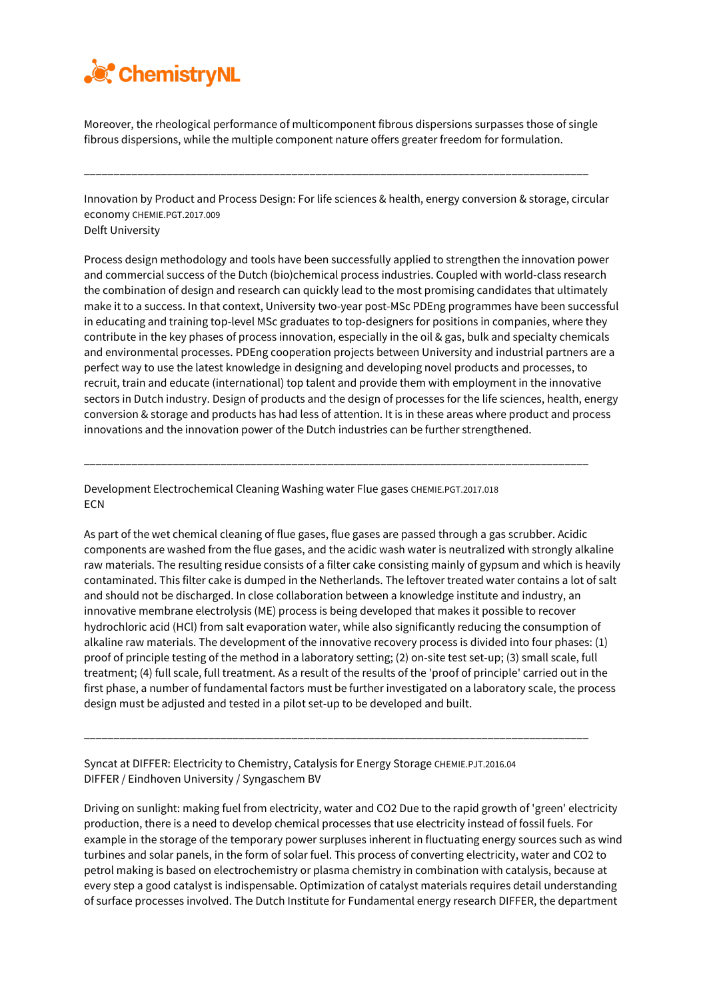

Moreover, the rheological performance of multicomponent fibrous dispersions surpasses those of single fibrous dispersions, while the multiple component nature offers greater freedom for formulation.

\_\_\_\_\_\_\_\_\_\_\_\_\_\_\_\_\_\_\_\_\_\_\_\_\_\_\_\_\_\_\_\_\_\_\_\_\_\_\_\_\_\_\_\_\_\_\_\_\_\_\_\_\_\_\_\_\_\_\_\_\_\_\_\_\_\_\_\_\_\_\_\_\_\_\_\_\_\_\_\_\_\_\_\_\_

Innovation by Product and Process Design: For life sciences & health, energy conversion & storage, circular economy CHEMIE.PGT.2017.009 Delft University

Process design methodology and tools have been successfully applied to strengthen the innovation power and commercial success of the Dutch (bio)chemical process industries. Coupled with world-class research the combination of design and research can quickly lead to the most promising candidates that ultimately make it to a success. In that context, University two-year post-MSc PDEng programmes have been successful in educating and training top-level MSc graduates to top-designers for positions in companies, where they contribute in the key phases of process innovation, especially in the oil & gas, bulk and specialty chemicals and environmental processes. PDEng cooperation projects between University and industrial partners are a perfect way to use the latest knowledge in designing and developing novel products and processes, to recruit, train and educate (international) top talent and provide them with employment in the innovative sectors in Dutch industry. Design of products and the design of processes for the life sciences, health, energy conversion & storage and products has had less of attention. It is in these areas where product and process innovations and the innovation power of the Dutch industries can be further strengthened.

\_\_\_\_\_\_\_\_\_\_\_\_\_\_\_\_\_\_\_\_\_\_\_\_\_\_\_\_\_\_\_\_\_\_\_\_\_\_\_\_\_\_\_\_\_\_\_\_\_\_\_\_\_\_\_\_\_\_\_\_\_\_\_\_\_\_\_\_\_\_\_\_\_\_\_\_\_\_\_\_\_\_\_\_\_

Development Electrochemical Cleaning Washing water Flue gases CHEMIE.PGT.2017.018 **ECN** 

As part of the wet chemical cleaning of flue gases, flue gases are passed through a gas scrubber. Acidic components are washed from the flue gases, and the acidic wash water is neutralized with strongly alkaline raw materials. The resulting residue consists of a filter cake consisting mainly of gypsum and which is heavily contaminated. This filter cake is dumped in the Netherlands. The leftover treated water contains a lot of salt and should not be discharged. In close collaboration between a knowledge institute and industry, an innovative membrane electrolysis (ME) process is being developed that makes it possible to recover hydrochloric acid (HCl) from salt evaporation water, while also significantly reducing the consumption of alkaline raw materials. The development of the innovative recovery process is divided into four phases: (1) proof of principle testing of the method in a laboratory setting; (2) on-site test set-up; (3) small scale, full treatment; (4) full scale, full treatment. As a result of the results of the 'proof of principle' carried out in the first phase, a number of fundamental factors must be further investigated on a laboratory scale, the process design must be adjusted and tested in a pilot set-up to be developed and built.

\_\_\_\_\_\_\_\_\_\_\_\_\_\_\_\_\_\_\_\_\_\_\_\_\_\_\_\_\_\_\_\_\_\_\_\_\_\_\_\_\_\_\_\_\_\_\_\_\_\_\_\_\_\_\_\_\_\_\_\_\_\_\_\_\_\_\_\_\_\_\_\_\_\_\_\_\_\_\_\_\_\_\_\_\_

Syncat at DIFFER: Electricity to Chemistry, Catalysis for Energy Storage CHEMIE.PJT.2016.04 DIFFER / Eindhoven University / Syngaschem BV

Driving on sunlight: making fuel from electricity, water and CO2 Due to the rapid growth of 'green' electricity production, there is a need to develop chemical processes that use electricity instead of fossil fuels. For example in the storage of the temporary power surpluses inherent in fluctuating energy sources such as wind turbines and solar panels, in the form of solar fuel. This process of converting electricity, water and CO2 to petrol making is based on electrochemistry or plasma chemistry in combination with catalysis, because at every step a good catalyst is indispensable. Optimization of catalyst materials requires detail understanding of surface processes involved. The Dutch Institute for Fundamental energy research DIFFER, the department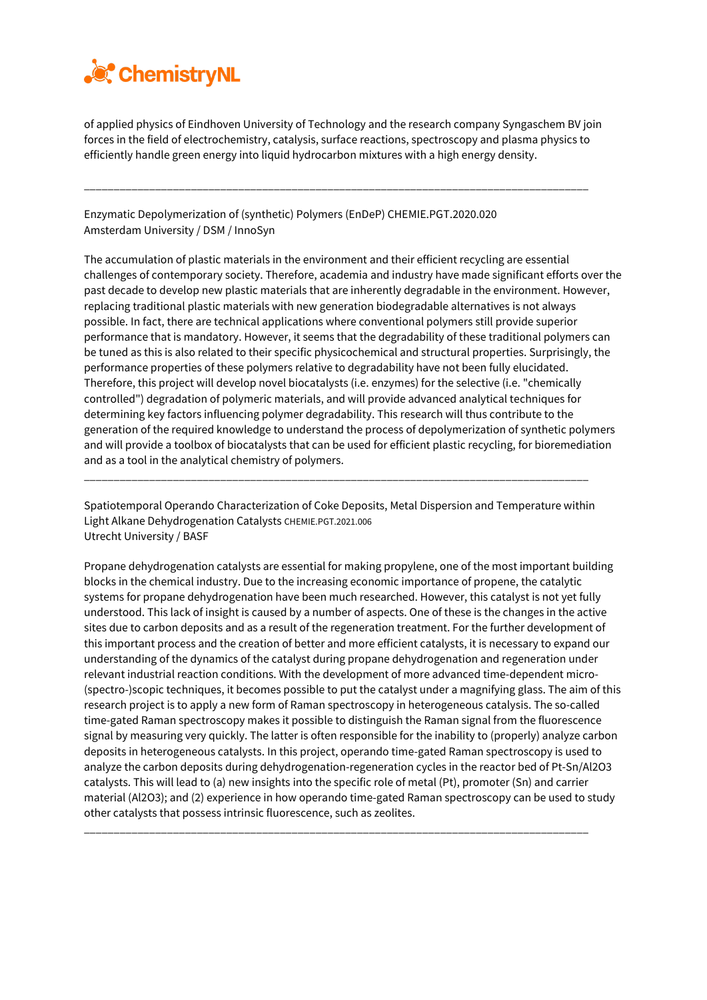

of applied physics of Eindhoven University of Technology and the research company Syngaschem BV join forces in the field of electrochemistry, catalysis, surface reactions, spectroscopy and plasma physics to efficiently handle green energy into liquid hydrocarbon mixtures with a high energy density.

\_\_\_\_\_\_\_\_\_\_\_\_\_\_\_\_\_\_\_\_\_\_\_\_\_\_\_\_\_\_\_\_\_\_\_\_\_\_\_\_\_\_\_\_\_\_\_\_\_\_\_\_\_\_\_\_\_\_\_\_\_\_\_\_\_\_\_\_\_\_\_\_\_\_\_\_\_\_\_\_\_\_\_\_\_

Enzymatic Depolymerization of (synthetic) Polymers (EnDeP) CHEMIE.PGT.2020.020 Amsterdam University / DSM / InnoSyn

The accumulation of plastic materials in the environment and their efficient recycling are essential challenges of contemporary society. Therefore, academia and industry have made significant efforts over the past decade to develop new plastic materials that are inherently degradable in the environment. However, replacing traditional plastic materials with new generation biodegradable alternatives is not always possible. In fact, there are technical applications where conventional polymers still provide superior performance that is mandatory. However, it seems that the degradability of these traditional polymers can be tuned as this is also related to their specific physicochemical and structural properties. Surprisingly, the performance properties of these polymers relative to degradability have not been fully elucidated. Therefore, this project will develop novel biocatalysts (i.e. enzymes) for the selective (i.e. "chemically controlled") degradation of polymeric materials, and will provide advanced analytical techniques for determining key factors influencing polymer degradability. This research will thus contribute to the generation of the required knowledge to understand the process of depolymerization of synthetic polymers and will provide a toolbox of biocatalysts that can be used for efficient plastic recycling, for bioremediation and as a tool in the analytical chemistry of polymers.

Spatiotemporal Operando Characterization of Coke Deposits, Metal Dispersion and Temperature within Light Alkane Dehydrogenation Catalysts CHEMIE.PGT.2021.006 Utrecht University / BASF

\_\_\_\_\_\_\_\_\_\_\_\_\_\_\_\_\_\_\_\_\_\_\_\_\_\_\_\_\_\_\_\_\_\_\_\_\_\_\_\_\_\_\_\_\_\_\_\_\_\_\_\_\_\_\_\_\_\_\_\_\_\_\_\_\_\_\_\_\_\_\_\_\_\_\_\_\_\_\_\_\_\_\_\_\_

Propane dehydrogenation catalysts are essential for making propylene, one of the most important building blocks in the chemical industry. Due to the increasing economic importance of propene, the catalytic systems for propane dehydrogenation have been much researched. However, this catalyst is not yet fully understood. This lack of insight is caused by a number of aspects. One of these is the changes in the active sites due to carbon deposits and as a result of the regeneration treatment. For the further development of this important process and the creation of better and more efficient catalysts, it is necessary to expand our understanding of the dynamics of the catalyst during propane dehydrogenation and regeneration under relevant industrial reaction conditions. With the development of more advanced time-dependent micro- (spectro-)scopic techniques, it becomes possible to put the catalyst under a magnifying glass. The aim of this research project is to apply a new form of Raman spectroscopy in heterogeneous catalysis. The so-called time-gated Raman spectroscopy makes it possible to distinguish the Raman signal from the fluorescence signal by measuring very quickly. The latter is often responsible for the inability to (properly) analyze carbon deposits in heterogeneous catalysts. In this project, operando time-gated Raman spectroscopy is used to analyze the carbon deposits during dehydrogenation-regeneration cycles in the reactor bed of Pt-Sn/Al2O3 catalysts. This will lead to (a) new insights into the specific role of metal (Pt), promoter (Sn) and carrier material (Al2O3); and (2) experience in how operando time-gated Raman spectroscopy can be used to study other catalysts that possess intrinsic fluorescence, such as zeolites.

\_\_\_\_\_\_\_\_\_\_\_\_\_\_\_\_\_\_\_\_\_\_\_\_\_\_\_\_\_\_\_\_\_\_\_\_\_\_\_\_\_\_\_\_\_\_\_\_\_\_\_\_\_\_\_\_\_\_\_\_\_\_\_\_\_\_\_\_\_\_\_\_\_\_\_\_\_\_\_\_\_\_\_\_\_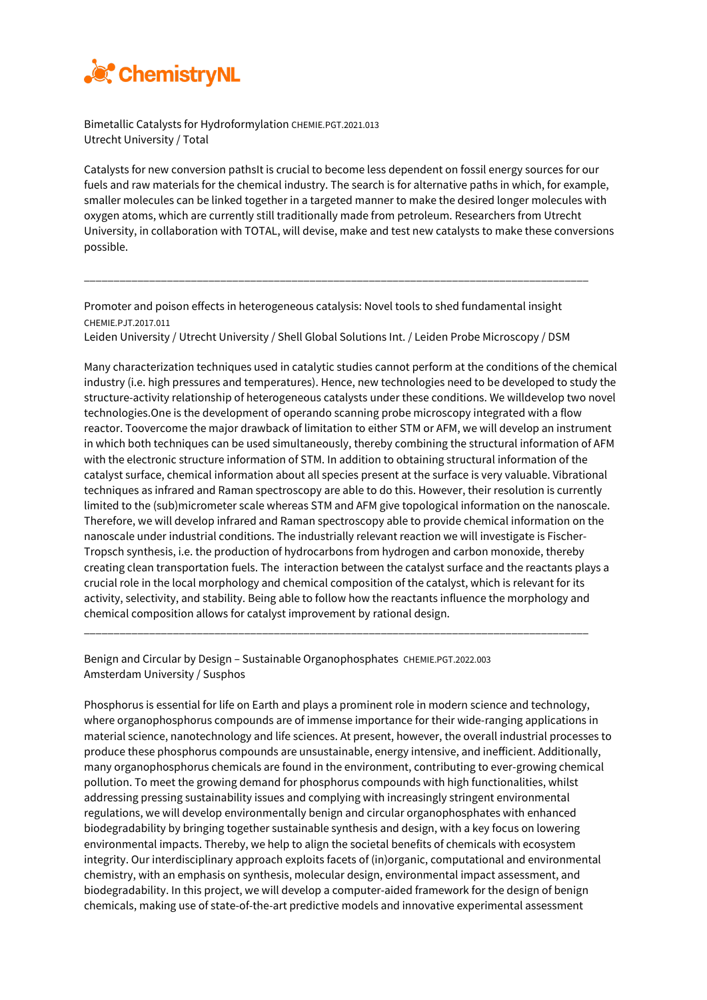

Bimetallic Catalysts for Hydroformylation CHEMIE.PGT.2021.013 Utrecht University / Total

Catalysts for new conversion pathsIt is crucial to become less dependent on fossil energy sources for our fuels and raw materials for the chemical industry. The search is for alternative paths in which, for example, smaller molecules can be linked together in a targeted manner to make the desired longer molecules with oxygen atoms, which are currently still traditionally made from petroleum. Researchers from Utrecht University, in collaboration with TOTAL, will devise, make and test new catalysts to make these conversions possible.

Promoter and poison effects in heterogeneous catalysis: Novel tools to shed fundamental insight CHEMIE.PJT.2017.011

\_\_\_\_\_\_\_\_\_\_\_\_\_\_\_\_\_\_\_\_\_\_\_\_\_\_\_\_\_\_\_\_\_\_\_\_\_\_\_\_\_\_\_\_\_\_\_\_\_\_\_\_\_\_\_\_\_\_\_\_\_\_\_\_\_\_\_\_\_\_\_\_\_\_\_\_\_\_\_\_\_\_\_\_\_

Leiden University / Utrecht University / Shell Global Solutions Int. / Leiden Probe Microscopy / DSM

Many characterization techniques used in catalytic studies cannot perform at the conditions of the chemical industry (i.e. high pressures and temperatures). Hence, new technologies need to be developed to study the structure-activity relationship of heterogeneous catalysts under these conditions. We willdevelop two novel technologies.One is the development of operando scanning probe microscopy integrated with a flow reactor. Toovercome the major drawback of limitation to either STM or AFM, we will develop an instrument in which both techniques can be used simultaneously, thereby combining the structural information of AFM with the electronic structure information of STM. In addition to obtaining structural information of the catalyst surface, chemical information about all species present at the surface is very valuable. Vibrational techniques as infrared and Raman spectroscopy are able to do this. However, their resolution is currently limited to the (sub)micrometer scale whereas STM and AFM give topological information on the nanoscale. Therefore, we will develop infrared and Raman spectroscopy able to provide chemical information on the nanoscale under industrial conditions. The industrially relevant reaction we will investigate is Fischer-Tropsch synthesis, i.e. the production of hydrocarbons from hydrogen and carbon monoxide, thereby creating clean transportation fuels. The interaction between the catalyst surface and the reactants plays a crucial role in the local morphology and chemical composition of the catalyst, which is relevant for its activity, selectivity, and stability. Being able to follow how the reactants influence the morphology and chemical composition allows for catalyst improvement by rational design.

\_\_\_\_\_\_\_\_\_\_\_\_\_\_\_\_\_\_\_\_\_\_\_\_\_\_\_\_\_\_\_\_\_\_\_\_\_\_\_\_\_\_\_\_\_\_\_\_\_\_\_\_\_\_\_\_\_\_\_\_\_\_\_\_\_\_\_\_\_\_\_\_\_\_\_\_\_\_\_\_\_\_\_\_\_

Benign and Circular by Design – Sustainable Organophosphates CHEMIE.PGT.2022.003 Amsterdam University / Susphos

Phosphorus is essential for life on Earth and plays a prominent role in modern science and technology, where organophosphorus compounds are of immense importance for their wide-ranging applications in material science, nanotechnology and life sciences. At present, however, the overall industrial processes to produce these phosphorus compounds are unsustainable, energy intensive, and inefficient. Additionally, many organophosphorus chemicals are found in the environment, contributing to ever-growing chemical pollution. To meet the growing demand for phosphorus compounds with high functionalities, whilst addressing pressing sustainability issues and complying with increasingly stringent environmental regulations, we will develop environmentally benign and circular organophosphates with enhanced biodegradability by bringing together sustainable synthesis and design, with a key focus on lowering environmental impacts. Thereby, we help to align the societal benefits of chemicals with ecosystem integrity. Our interdisciplinary approach exploits facets of (in)organic, computational and environmental chemistry, with an emphasis on synthesis, molecular design, environmental impact assessment, and biodegradability. In this project, we will develop a computer-aided framework for the design of benign chemicals, making use of state-of-the-art predictive models and innovative experimental assessment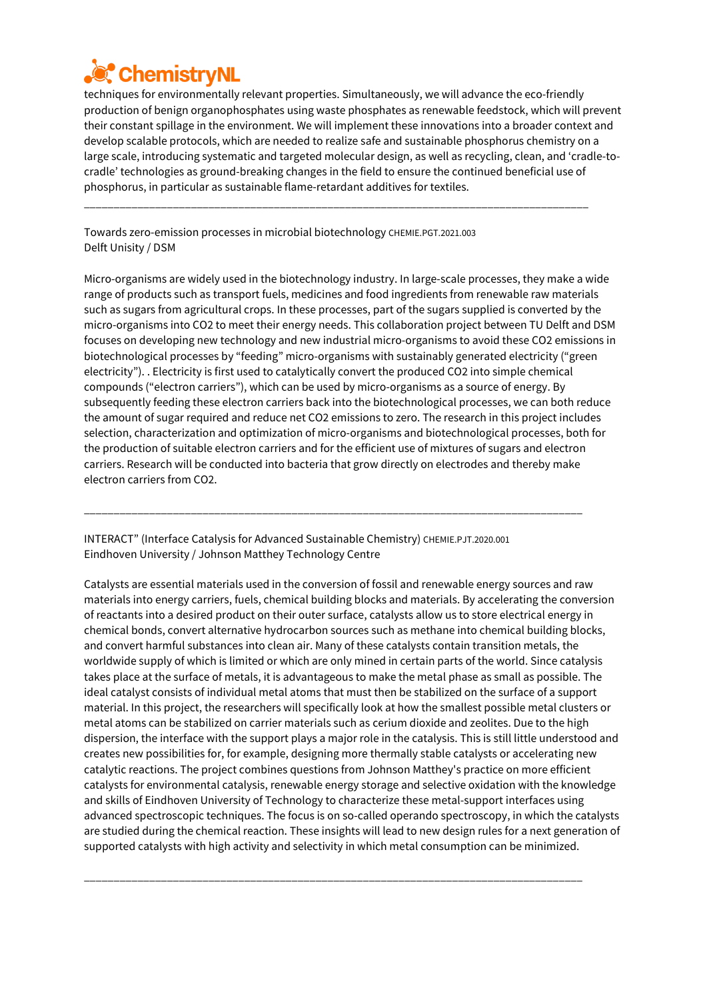

techniques for environmentally relevant properties. Simultaneously, we will advance the eco-friendly production of benign organophosphates using waste phosphates as renewable feedstock, which will prevent their constant spillage in the environment. We will implement these innovations into a broader context and develop scalable protocols, which are needed to realize safe and sustainable phosphorus chemistry on a large scale, introducing systematic and targeted molecular design, as well as recycling, clean, and 'cradle-tocradle' technologies as ground-breaking changes in the field to ensure the continued beneficial use of phosphorus, in particular as sustainable flame-retardant additives for textiles.

\_\_\_\_\_\_\_\_\_\_\_\_\_\_\_\_\_\_\_\_\_\_\_\_\_\_\_\_\_\_\_\_\_\_\_\_\_\_\_\_\_\_\_\_\_\_\_\_\_\_\_\_\_\_\_\_\_\_\_\_\_\_\_\_\_\_\_\_\_\_\_\_\_\_\_\_\_\_\_\_\_\_\_\_\_

Towards zero-emission processes in microbial biotechnology CHEMIE.PGT.2021.003 Delft Unisity / DSM

Micro-organisms are widely used in the biotechnology industry. In large-scale processes, they make a wide range of products such as transport fuels, medicines and food ingredients from renewable raw materials such as sugars from agricultural crops. In these processes, part of the sugars supplied is converted by the micro-organisms into CO2 to meet their energy needs. This collaboration project between TU Delft and DSM focuses on developing new technology and new industrial micro-organisms to avoid these CO2 emissions in biotechnological processes by "feeding" micro-organisms with sustainably generated electricity ("green electricity"). . Electricity is first used to catalytically convert the produced CO2 into simple chemical compounds ("electron carriers"), which can be used by micro-organisms as a source of energy. By subsequently feeding these electron carriers back into the biotechnological processes, we can both reduce the amount of sugar required and reduce net CO2 emissions to zero. The research in this project includes selection, characterization and optimization of micro-organisms and biotechnological processes, both for the production of suitable electron carriers and for the efficient use of mixtures of sugars and electron carriers. Research will be conducted into bacteria that grow directly on electrodes and thereby make electron carriers from CO2.

INTERACT" (Interface Catalysis for Advanced Sustainable Chemistry) CHEMIE.PJT.2020.001 Eindhoven University / Johnson Matthey Technology Centre

\_\_\_\_\_\_\_\_\_\_\_\_\_\_\_\_\_\_\_\_\_\_\_\_\_\_\_\_\_\_\_\_\_\_\_\_\_\_\_\_\_\_\_\_\_\_\_\_\_\_\_\_\_\_\_\_\_\_\_\_\_\_\_\_\_\_\_\_\_\_\_\_\_\_\_\_\_\_\_\_\_\_\_\_

Catalysts are essential materials used in the conversion of fossil and renewable energy sources and raw materials into energy carriers, fuels, chemical building blocks and materials. By accelerating the conversion of reactants into a desired product on their outer surface, catalysts allow us to store electrical energy in chemical bonds, convert alternative hydrocarbon sources such as methane into chemical building blocks, and convert harmful substances into clean air. Many of these catalysts contain transition metals, the worldwide supply of which is limited or which are only mined in certain parts of the world. Since catalysis takes place at the surface of metals, it is advantageous to make the metal phase as small as possible. The ideal catalyst consists of individual metal atoms that must then be stabilized on the surface of a support material. In this project, the researchers will specifically look at how the smallest possible metal clusters or metal atoms can be stabilized on carrier materials such as cerium dioxide and zeolites. Due to the high dispersion, the interface with the support plays a major role in the catalysis. This is still little understood and creates new possibilities for, for example, designing more thermally stable catalysts or accelerating new catalytic reactions. The project combines questions from Johnson Matthey's practice on more efficient catalysts for environmental catalysis, renewable energy storage and selective oxidation with the knowledge and skills of Eindhoven University of Technology to characterize these metal-support interfaces using advanced spectroscopic techniques. The focus is on so-called operando spectroscopy, in which the catalysts are studied during the chemical reaction. These insights will lead to new design rules for a next generation of supported catalysts with high activity and selectivity in which metal consumption can be minimized.

\_\_\_\_\_\_\_\_\_\_\_\_\_\_\_\_\_\_\_\_\_\_\_\_\_\_\_\_\_\_\_\_\_\_\_\_\_\_\_\_\_\_\_\_\_\_\_\_\_\_\_\_\_\_\_\_\_\_\_\_\_\_\_\_\_\_\_\_\_\_\_\_\_\_\_\_\_\_\_\_\_\_\_\_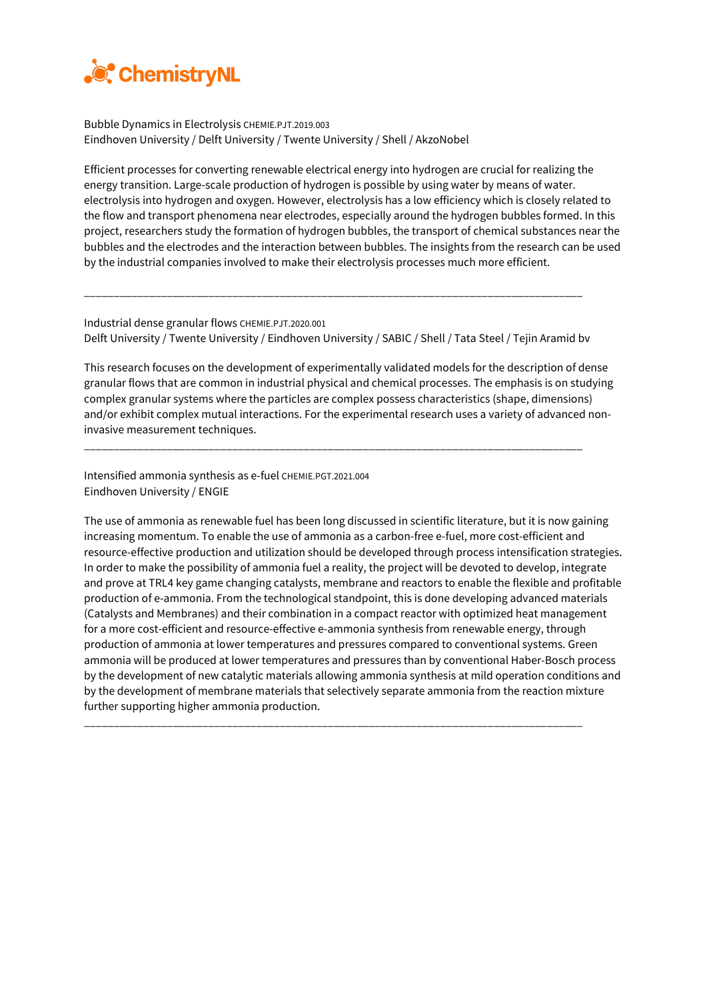

Bubble Dynamics in Electrolysis CHEMIE.PJT.2019.003 Eindhoven University / Delft University / Twente University / Shell / AkzoNobel

Efficient processes for converting renewable electrical energy into hydrogen are crucial for realizing the energy transition. Large-scale production of hydrogen is possible by using water by means of water. electrolysis into hydrogen and oxygen. However, electrolysis has a low efficiency which is closely related to the flow and transport phenomena near electrodes, especially around the hydrogen bubbles formed. In this project, researchers study the formation of hydrogen bubbles, the transport of chemical substances near the bubbles and the electrodes and the interaction between bubbles. The insights from the research can be used by the industrial companies involved to make their electrolysis processes much more efficient.

Industrial dense granular flows CHEMIE.PJT.2020.001 Delft University / Twente University / Eindhoven University / SABIC / Shell / Tata Steel / Tejin Aramid bv

\_\_\_\_\_\_\_\_\_\_\_\_\_\_\_\_\_\_\_\_\_\_\_\_\_\_\_\_\_\_\_\_\_\_\_\_\_\_\_\_\_\_\_\_\_\_\_\_\_\_\_\_\_\_\_\_\_\_\_\_\_\_\_\_\_\_\_\_\_\_\_\_\_\_\_\_\_\_\_\_\_\_\_\_

This research focuses on the development of experimentally validated models for the description of dense granular flows that are common in industrial physical and chemical processes. The emphasis is on studying complex granular systems where the particles are complex possess characteristics (shape, dimensions) and/or exhibit complex mutual interactions. For the experimental research uses a variety of advanced noninvasive measurement techniques.

\_\_\_\_\_\_\_\_\_\_\_\_\_\_\_\_\_\_\_\_\_\_\_\_\_\_\_\_\_\_\_\_\_\_\_\_\_\_\_\_\_\_\_\_\_\_\_\_\_\_\_\_\_\_\_\_\_\_\_\_\_\_\_\_\_\_\_\_\_\_\_\_\_\_\_\_\_\_\_\_\_\_\_\_

Intensified ammonia synthesis as e-fuel CHEMIE.PGT.2021.004 Eindhoven University / ENGIE

The use of ammonia as renewable fuel has been long discussed in scientific literature, but it is now gaining increasing momentum. To enable the use of ammonia as a carbon-free e-fuel, more cost-efficient and resource-effective production and utilization should be developed through process intensification strategies. In order to make the possibility of ammonia fuel a reality, the project will be devoted to develop, integrate and prove at TRL4 key game changing catalysts, membrane and reactors to enable the flexible and profitable production of e-ammonia. From the technological standpoint, this is done developing advanced materials (Catalysts and Membranes) and their combination in a compact reactor with optimized heat management for a more cost-efficient and resource-effective e-ammonia synthesis from renewable energy, through production of ammonia at lower temperatures and pressures compared to conventional systems. Green ammonia will be produced at lower temperatures and pressures than by conventional Haber-Bosch process by the development of new catalytic materials allowing ammonia synthesis at mild operation conditions and by the development of membrane materials that selectively separate ammonia from the reaction mixture further supporting higher ammonia production.

\_\_\_\_\_\_\_\_\_\_\_\_\_\_\_\_\_\_\_\_\_\_\_\_\_\_\_\_\_\_\_\_\_\_\_\_\_\_\_\_\_\_\_\_\_\_\_\_\_\_\_\_\_\_\_\_\_\_\_\_\_\_\_\_\_\_\_\_\_\_\_\_\_\_\_\_\_\_\_\_\_\_\_\_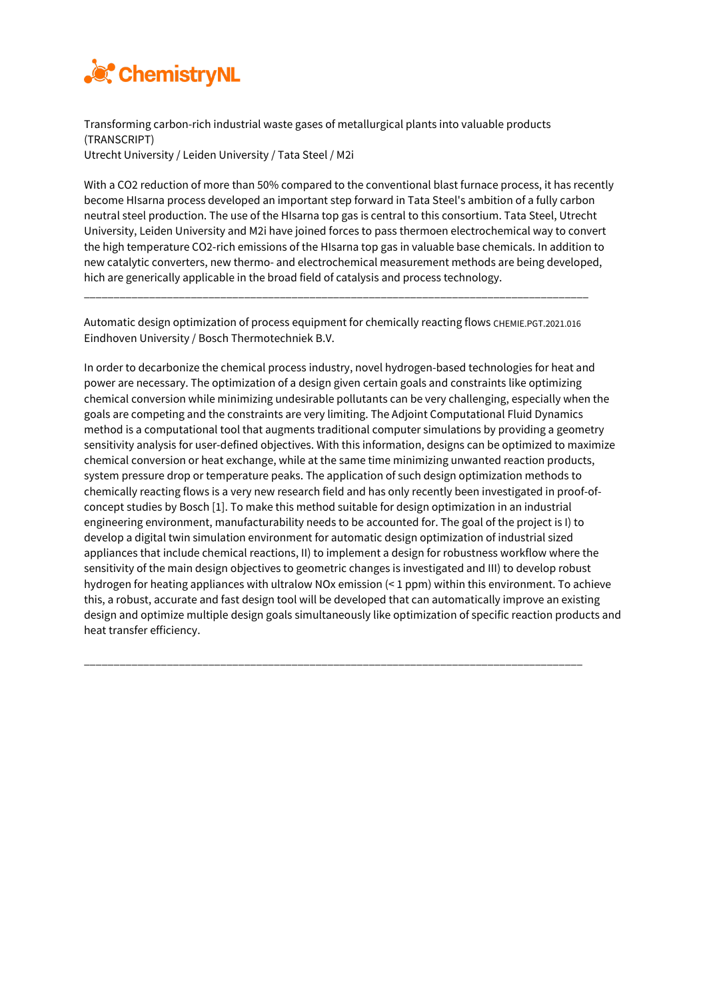

Transforming carbon-rich industrial waste gases of metallurgical plants into valuable products (TRANSCRIPT) Utrecht University / Leiden University / Tata Steel / M2i

With a CO2 reduction of more than 50% compared to the conventional blast furnace process, it has recently become HIsarna process developed an important step forward in Tata Steel's ambition of a fully carbon neutral steel production. The use of the HIsarna top gas is central to this consortium. Tata Steel, Utrecht University, Leiden University and M2i have joined forces to pass thermoen electrochemical way to convert the high temperature CO2-rich emissions of the HIsarna top gas in valuable base chemicals. In addition to new catalytic converters, new thermo- and electrochemical measurement methods are being developed, hich are generically applicable in the broad field of catalysis and process technology.

Automatic design optimization of process equipment for chemically reacting flows CHEMIE.PGT.2021.016 Eindhoven University / Bosch Thermotechniek B.V.

\_\_\_\_\_\_\_\_\_\_\_\_\_\_\_\_\_\_\_\_\_\_\_\_\_\_\_\_\_\_\_\_\_\_\_\_\_\_\_\_\_\_\_\_\_\_\_\_\_\_\_\_\_\_\_\_\_\_\_\_\_\_\_\_\_\_\_\_\_\_\_\_\_\_\_\_\_\_\_\_\_\_\_\_\_

In order to decarbonize the chemical process industry, novel hydrogen-based technologies for heat and power are necessary. The optimization of a design given certain goals and constraints like optimizing chemical conversion while minimizing undesirable pollutants can be very challenging, especially when the goals are competing and the constraints are very limiting. The Adjoint Computational Fluid Dynamics method is a computational tool that augments traditional computer simulations by providing a geometry sensitivity analysis for user-defined objectives. With this information, designs can be optimized to maximize chemical conversion or heat exchange, while at the same time minimizing unwanted reaction products, system pressure drop or temperature peaks. The application of such design optimization methods to chemically reacting flows is a very new research field and has only recently been investigated in proof-ofconcept studies by Bosch [1]. To make this method suitable for design optimization in an industrial engineering environment, manufacturability needs to be accounted for. The goal of the project is I) to develop a digital twin simulation environment for automatic design optimization of industrial sized appliances that include chemical reactions, II) to implement a design for robustness workflow where the sensitivity of the main design objectives to geometric changes is investigated and III) to develop robust hydrogen for heating appliances with ultralow NOx emission (< 1 ppm) within this environment. To achieve this, a robust, accurate and fast design tool will be developed that can automatically improve an existing design and optimize multiple design goals simultaneously like optimization of specific reaction products and heat transfer efficiency.

\_\_\_\_\_\_\_\_\_\_\_\_\_\_\_\_\_\_\_\_\_\_\_\_\_\_\_\_\_\_\_\_\_\_\_\_\_\_\_\_\_\_\_\_\_\_\_\_\_\_\_\_\_\_\_\_\_\_\_\_\_\_\_\_\_\_\_\_\_\_\_\_\_\_\_\_\_\_\_\_\_\_\_\_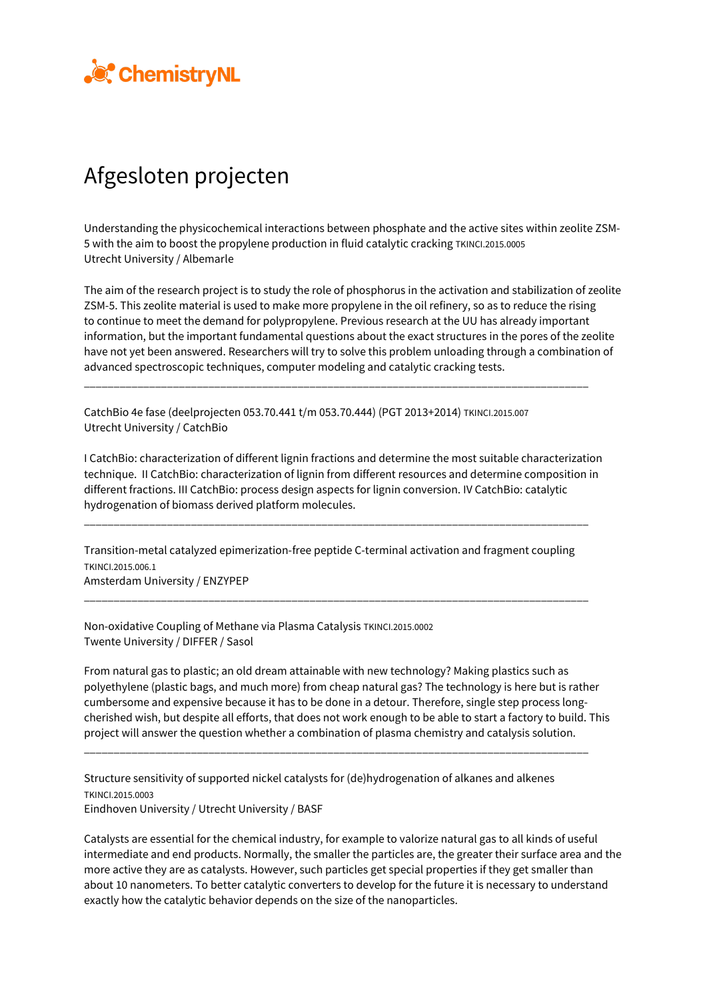

## Afgesloten projecten

Understanding the physicochemical interactions between phosphate and the active sites within zeolite ZSM-5 with the aim to boost the propylene production in fluid catalytic cracking TKINCI.2015.0005 Utrecht University / Albemarle

The aim of the research project is to study the role of phosphorus in the activation and stabilization of zeolite ZSM-5. This zeolite material is used to make more propylene in the oil refinery, so as to reduce the rising to continue to meet the demand for polypropylene. Previous research at the UU has already important information, but the important fundamental questions about the exact structures in the pores of the zeolite have not yet been answered. Researchers will try to solve this problem unloading through a combination of advanced spectroscopic techniques, computer modeling and catalytic cracking tests.

\_\_\_\_\_\_\_\_\_\_\_\_\_\_\_\_\_\_\_\_\_\_\_\_\_\_\_\_\_\_\_\_\_\_\_\_\_\_\_\_\_\_\_\_\_\_\_\_\_\_\_\_\_\_\_\_\_\_\_\_\_\_\_\_\_\_\_\_\_\_\_\_\_\_\_\_\_\_\_\_\_\_\_\_\_

CatchBio 4e fase (deelprojecten 053.70.441 t/m 053.70.444) (PGT 2013+2014) TKINCI.2015.007 Utrecht University / CatchBio

I CatchBio: characterization of different lignin fractions and determine the most suitable characterization technique. II CatchBio: characterization of lignin from different resources and determine composition in different fractions. III CatchBio: process design aspects for lignin conversion. IV CatchBio: catalytic hydrogenation of biomass derived platform molecules.

Transition-metal catalyzed epimerization-free peptide C-terminal activation and fragment coupling TKINCI.2015.006.1 Amsterdam University / ENZYPEP

\_\_\_\_\_\_\_\_\_\_\_\_\_\_\_\_\_\_\_\_\_\_\_\_\_\_\_\_\_\_\_\_\_\_\_\_\_\_\_\_\_\_\_\_\_\_\_\_\_\_\_\_\_\_\_\_\_\_\_\_\_\_\_\_\_\_\_\_\_\_\_\_\_\_\_\_\_\_\_\_\_\_\_\_\_

\_\_\_\_\_\_\_\_\_\_\_\_\_\_\_\_\_\_\_\_\_\_\_\_\_\_\_\_\_\_\_\_\_\_\_\_\_\_\_\_\_\_\_\_\_\_\_\_\_\_\_\_\_\_\_\_\_\_\_\_\_\_\_\_\_\_\_\_\_\_\_\_\_\_\_\_\_\_\_\_\_\_\_\_\_

Non-oxidative Coupling of Methane via Plasma Catalysis TKINCI.2015.0002 Twente University / DIFFER / Sasol

From natural gas to plastic; an old dream attainable with new technology? Making plastics such as polyethylene (plastic bags, and much more) from cheap natural gas? The technology is here but is rather cumbersome and expensive because it has to be done in a detour. Therefore, single step process longcherished wish, but despite all efforts, that does not work enough to be able to start a factory to build. This project will answer the question whether a combination of plasma chemistry and catalysis solution.

\_\_\_\_\_\_\_\_\_\_\_\_\_\_\_\_\_\_\_\_\_\_\_\_\_\_\_\_\_\_\_\_\_\_\_\_\_\_\_\_\_\_\_\_\_\_\_\_\_\_\_\_\_\_\_\_\_\_\_\_\_\_\_\_\_\_\_\_\_\_\_\_\_\_\_\_\_\_\_\_\_\_\_\_\_

Structure sensitivity of supported nickel catalysts for (de)hydrogenation of alkanes and alkenes TKINCI.2015.0003 Eindhoven University / Utrecht University / BASF

Catalysts are essential for the chemical industry, for example to valorize natural gas to all kinds of useful intermediate and end products. Normally, the smaller the particles are, the greater their surface area and the more active they are as catalysts. However, such particles get special properties if they get smaller than about 10 nanometers. To better catalytic converters to develop for the future it is necessary to understand exactly how the catalytic behavior depends on the size of the nanoparticles.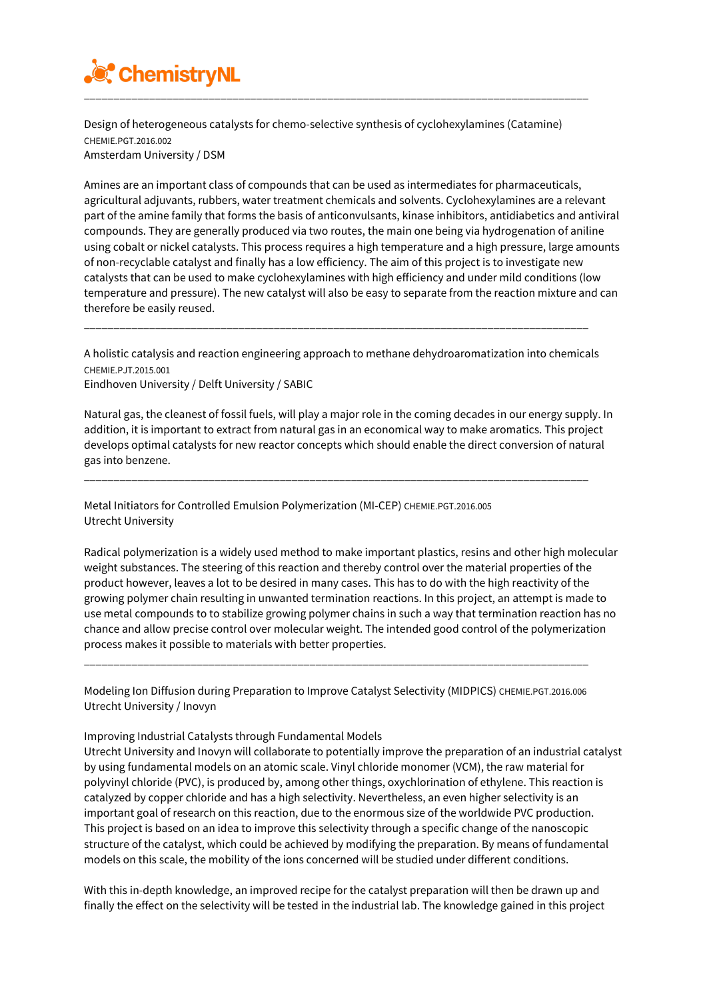

Design of heterogeneous catalysts for chemo-selective synthesis of cyclohexylamines (Catamine) CHEMIE.PGT.2016.002 Amsterdam University / DSM

Amines are an important class of compounds that can be used as intermediates for pharmaceuticals, agricultural adjuvants, rubbers, water treatment chemicals and solvents. Cyclohexylamines are a relevant part of the amine family that forms the basis of anticonvulsants, kinase inhibitors, antidiabetics and antiviral compounds. They are generally produced via two routes, the main one being via hydrogenation of aniline using cobalt or nickel catalysts. This process requires a high temperature and a high pressure, large amounts of non-recyclable catalyst and finally has a low efficiency. The aim of this project is to investigate new catalysts that can be used to make cyclohexylamines with high efficiency and under mild conditions (low temperature and pressure). The new catalyst will also be easy to separate from the reaction mixture and can therefore be easily reused.

A holistic catalysis and reaction engineering approach to methane dehydroaromatization into chemicals CHEMIE.PJT.2015.001

\_\_\_\_\_\_\_\_\_\_\_\_\_\_\_\_\_\_\_\_\_\_\_\_\_\_\_\_\_\_\_\_\_\_\_\_\_\_\_\_\_\_\_\_\_\_\_\_\_\_\_\_\_\_\_\_\_\_\_\_\_\_\_\_\_\_\_\_\_\_\_\_\_\_\_\_\_\_\_\_\_\_\_\_\_

Eindhoven University / Delft University / SABIC

Natural gas, the cleanest of fossil fuels, will play a major role in the coming decades in our energy supply. In addition, it is important to extract from natural gas in an economical way to make aromatics. This project develops optimal catalysts for new reactor concepts which should enable the direct conversion of natural gas into benzene.

\_\_\_\_\_\_\_\_\_\_\_\_\_\_\_\_\_\_\_\_\_\_\_\_\_\_\_\_\_\_\_\_\_\_\_\_\_\_\_\_\_\_\_\_\_\_\_\_\_\_\_\_\_\_\_\_\_\_\_\_\_\_\_\_\_\_\_\_\_\_\_\_\_\_\_\_\_\_\_\_\_\_\_\_\_

Metal Initiators for Controlled Emulsion Polymerization (MI-CEP) CHEMIE.PGT.2016.005 Utrecht University

Radical polymerization is a widely used method to make important plastics, resins and other high molecular weight substances. The steering of this reaction and thereby control over the material properties of the product however, leaves a lot to be desired in many cases. This has to do with the high reactivity of the growing polymer chain resulting in unwanted termination reactions. In this project, an attempt is made to use metal compounds to to stabilize growing polymer chains in such a way that termination reaction has no chance and allow precise control over molecular weight. The intended good control of the polymerization process makes it possible to materials with better properties.

Modeling Ion Diffusion during Preparation to Improve Catalyst Selectivity (MIDPICS) CHEMIE.PGT.2016.006 Utrecht University / Inovyn

\_\_\_\_\_\_\_\_\_\_\_\_\_\_\_\_\_\_\_\_\_\_\_\_\_\_\_\_\_\_\_\_\_\_\_\_\_\_\_\_\_\_\_\_\_\_\_\_\_\_\_\_\_\_\_\_\_\_\_\_\_\_\_\_\_\_\_\_\_\_\_\_\_\_\_\_\_\_\_\_\_\_\_\_\_

## Improving Industrial Catalysts through Fundamental Models

Utrecht University and Inovyn will collaborate to potentially improve the preparation of an industrial catalyst by using fundamental models on an atomic scale. Vinyl chloride monomer (VCM), the raw material for polyvinyl chloride (PVC), is produced by, among other things, oxychlorination of ethylene. This reaction is catalyzed by copper chloride and has a high selectivity. Nevertheless, an even higher selectivity is an important goal of research on this reaction, due to the enormous size of the worldwide PVC production. This project is based on an idea to improve this selectivity through a specific change of the nanoscopic structure of the catalyst, which could be achieved by modifying the preparation. By means of fundamental models on this scale, the mobility of the ions concerned will be studied under different conditions.

With this in-depth knowledge, an improved recipe for the catalyst preparation will then be drawn up and finally the effect on the selectivity will be tested in the industrial lab. The knowledge gained in this project